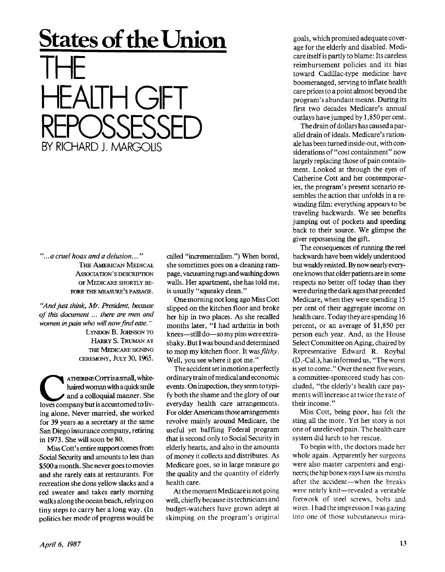## **States of the Union**  THE HEALTH GFT<br>PERSORESSER REPOSSESSED<br>RY RICHARD LAARCOUS BY RICHARD J. MARGOLIS

*"...a cruel hoax and a delusion..."*  THE AMERICAN MEDICAL ASSOCIATION'S DESCRIPTION OF MEDICARE SHORTLY BE-FORE THE MEASURE'S PASSAGE.

*"And just think, Mr. President, because of this document... there are men and women in pain who will now find ease."* 

> LYNDON B. JOHNSON TO HARRY S. TRUMAN AT THE MEDICARE SIGNING CEREMONY, JULY 30, 1965.

**COLUTE ATHERINE COTT is a small, white-<br>
haired woman with a quick smile<br>
loves company but is accustomed to liv-**ATHERINE Corris asmall, whitehaired woman with a quick smile and a colloquial manner. She ing alone. Never married, she worked for 39 years as a secretary at the same San Diego insurance company, retiring in 1973. She will soon be 80.

Miss Cott's entire support comes from Social Security and amounts to less than \$500 a month. She never goes to movies and she rarely eats at restaurants. For recreation she dons yellow slacks and a red sweater and takes early morning walks along the ocean beach, relying on tiny steps to carry her a long way. (In politics her mode of progress would be called "incrementalism.") When bored, she sometimes goes on a cleaning rampage, vacuuming rugs and washing down walls. Her apartment, she has told me, is usually "squeaky clean."

One morning not long ago Miss Cott slipped on the kitchen floor and broke her hip in two places. As she recalled months later, "I had arthritis in both knees—still do—so my pins were extrashaky. But I was bound and determined to mop my kitchen floor. It was *filthy.*  Well, you see where it got me."

The accident set in motion a perfectly ordinary train of medical and economic events. Oninspection, they seem to typify both the shame and the glory of our everyday health care arrangements. For older Americans those arrangements revolve mainly around Medicare, the useful yet baffling Federal program that is second only to Social Security in elderly hearts, and also in the amounts of money it collects and distributes. As Medicare goes, so in large measure go the quality and the quantity of elderly health care.

At the moment Medicare is not going well, chiefly because its technicians and budget-watchers have grown adept at skimping on the program's original

goals, which promised adequate coverage for the elderly and disabled. Medicare itself is partly to blame: Its careless reimbursement policies and its bias toward Cadillac-type medicine have boomeranged, serving to inflate health care prices to a point almost beyond the program's abundant means. During its first two decades Medicare's annual outlays have jumped by 1,850 per cent.

The drain of dollars has caused a parallel drain of ideals. Medicare's rationale has been turned inside-out, with considerations of "cost containment" now largely replacing those of pain containment. Looked at through the eyes of Catherine Cott and her contemporaries, the program's present scenario resembles the action that unfolds in a rewinding film: everything appears to be traveling backwards. We see benefits jumping out of pockets and speeding back to their source. We glimpse the giver repossessing the gift.

The consequences of running the reel backwards have been widely understood but weakly resisted. By now nearly everyone knows that older patients are in some respects no better off today than they were during the dark ages that preceded Medicare, when they were spending 15 per cent of their aggregate income on health care. Today they are spending 16 percent, or an average of \$1,850 per person each year. And, as the House Select Committee on Aging, chaired by Representative Edward R. Roybal (D ,-Cal.), has informed us, "The worst is yet to come." Over the next five years, a committee-sponsored study has concluded, "the elderly's health care payments will increase at twice the rate of their income."

Miss Cott, being poor, has felt the sting all the more. Yet her story is not one of unrelieved pain. The health care system did lurch to her rescue.

To begin with, the doctors made her whole again. Apparently her surgeons were also master carpenters and engineers; the hip bone x-rays I saw six months after the accident—when the breaks were nearly knit—revealed a veritable fretwork of steel screws, bolts and wires. 1 had the impression I was gazing into one of those subcutaneous mira